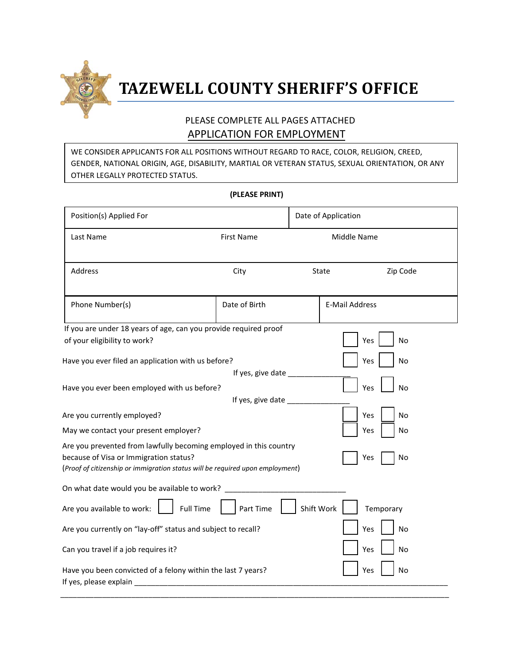

# **TAZEWELL COUNTY SHERIFF'S OFFICE**

#### PLEASE COMPLETE ALL PAGES ATTACHED APPLICATION FOR EMPLOYMENT

WE CONSIDER APPLICANTS FOR ALL POSITIONS WITHOUT REGARD TO RACE, COLOR, RELIGION, CREED, GENDER, NATIONAL ORIGIN, AGE, DISABILITY, MARTIAL OR VETERAN STATUS, SEXUAL ORIENTATION, OR ANY OTHER LEGALLY PROTECTED STATUS.

| Position(s) Applied For                                                                                                                                                                                   |                        | Date of Application |                       |  |  |
|-----------------------------------------------------------------------------------------------------------------------------------------------------------------------------------------------------------|------------------------|---------------------|-----------------------|--|--|
| Last Name                                                                                                                                                                                                 | <b>First Name</b>      |                     | Middle Name           |  |  |
| Address                                                                                                                                                                                                   | City                   | State               | Zip Code              |  |  |
| Phone Number(s)                                                                                                                                                                                           | Date of Birth          |                     | <b>E-Mail Address</b> |  |  |
| If you are under 18 years of age, can you provide required proof                                                                                                                                          |                        |                     |                       |  |  |
| of your eligibility to work?                                                                                                                                                                              |                        |                     | Yes<br>No             |  |  |
| Have you ever filed an application with us before?                                                                                                                                                        |                        | No<br>Yes           |                       |  |  |
|                                                                                                                                                                                                           | If yes, give date ____ |                     |                       |  |  |
| Yes<br>Have you ever been employed with us before?<br>No                                                                                                                                                  |                        |                     |                       |  |  |
|                                                                                                                                                                                                           | If yes, give date      |                     |                       |  |  |
| Yes<br><b>No</b><br>Are you currently employed?                                                                                                                                                           |                        |                     |                       |  |  |
| May we contact your present employer?                                                                                                                                                                     |                        |                     | No<br>Yes             |  |  |
| Are you prevented from lawfully becoming employed in this country<br>because of Visa or Immigration status?<br>Yes<br>No<br>(Proof of citizenship or immigration status will be required upon employment) |                        |                     |                       |  |  |
| On what date would you be available to work?                                                                                                                                                              |                        |                     |                       |  |  |
| Shift Work<br>Are you available to work:<br><b>Full Time</b><br>Part Time<br>Temporary                                                                                                                    |                        |                     |                       |  |  |
| Are you currently on "lay-off" status and subject to recall?                                                                                                                                              |                        |                     | Yes<br>No             |  |  |
| Can you travel if a job requires it?                                                                                                                                                                      |                        |                     | No<br>Yes             |  |  |
| Have you been convicted of a felony within the last 7 years?<br>Yes<br>No<br>If yes, please explain                                                                                                       |                        |                     |                       |  |  |

**(PLEASE PRINT)**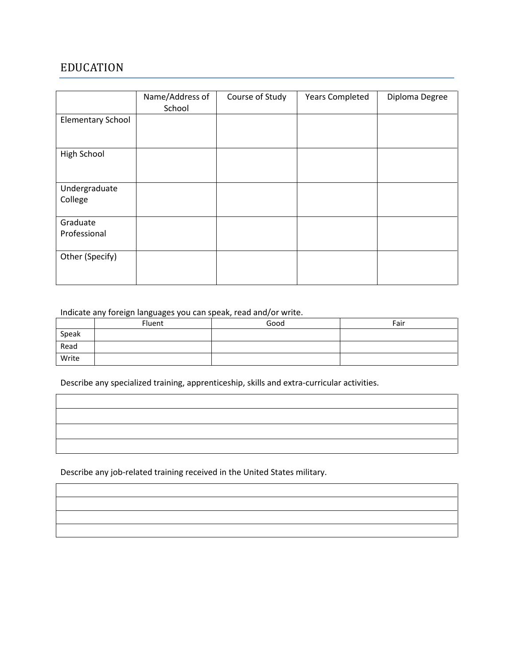#### EDUCATION

|                          | Name/Address of<br>School | Course of Study | <b>Years Completed</b> | Diploma Degree |
|--------------------------|---------------------------|-----------------|------------------------|----------------|
| <b>Elementary School</b> |                           |                 |                        |                |
| High School              |                           |                 |                        |                |
| Undergraduate<br>College |                           |                 |                        |                |
| Graduate<br>Professional |                           |                 |                        |                |
| Other (Specify)          |                           |                 |                        |                |

#### Indicate any foreign languages you can speak, read and/or write.

|       | Fluent | Good | Fair |
|-------|--------|------|------|
| Speak |        |      |      |
| Read  |        |      |      |
| Write |        |      |      |

Describe any specialized training, apprenticeship, skills and extra-curricular activities.

Describe any job-related training received in the United States military.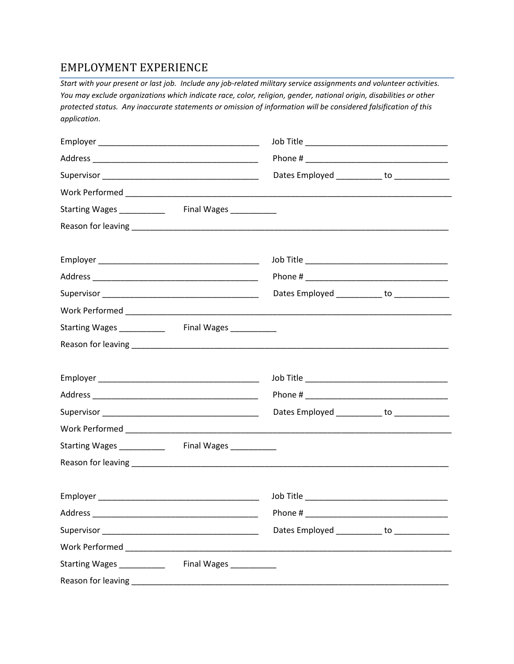#### EMPLOYMENT EXPERIENCE

*Start with your present or last job. Include any job-related military service assignments and volunteer activities. You may exclude organizations which indicate race, color, religion, gender, national origin, disabilities or other protected status. Any inaccurate statements or omission of information will be considered falsification of this application.*

|                           |                        |                                                                                                                       | Dates Employed ___________ to _____________   |
|---------------------------|------------------------|-----------------------------------------------------------------------------------------------------------------------|-----------------------------------------------|
|                           |                        |                                                                                                                       |                                               |
|                           |                        |                                                                                                                       |                                               |
|                           |                        |                                                                                                                       |                                               |
|                           |                        |                                                                                                                       |                                               |
|                           |                        |                                                                                                                       |                                               |
|                           |                        |                                                                                                                       | Dates Employed ___________ to _____________   |
|                           |                        |                                                                                                                       |                                               |
|                           |                        |                                                                                                                       |                                               |
|                           |                        |                                                                                                                       |                                               |
|                           |                        |                                                                                                                       |                                               |
|                           |                        |                                                                                                                       |                                               |
|                           |                        |                                                                                                                       | Dates Employed ___________ to ______________  |
|                           |                        |                                                                                                                       |                                               |
|                           |                        |                                                                                                                       |                                               |
|                           |                        |                                                                                                                       |                                               |
|                           |                        | Job Title <u>San American School and School and School and School and School and School and School and School and</u> |                                               |
| Address                   |                        |                                                                                                                       |                                               |
|                           |                        |                                                                                                                       | Dates Employed ____________ to ______________ |
|                           |                        |                                                                                                                       |                                               |
| Starting Wages __________ | Final Wages __________ |                                                                                                                       |                                               |
|                           |                        |                                                                                                                       |                                               |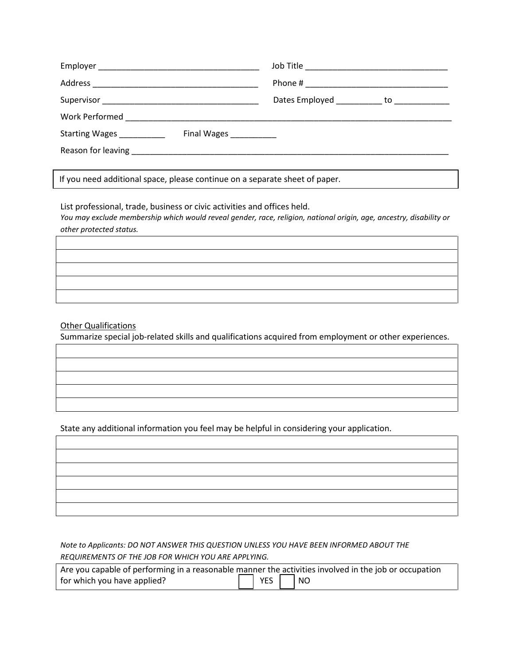|                                                   | Dates Employed ____________ to _____________ |
|---------------------------------------------------|----------------------------------------------|
|                                                   |                                              |
| Starting Wages _________<br>Final Wages _________ |                                              |
|                                                   |                                              |

If you need additional space, please continue on a separate sheet of paper.

List professional, trade, business or civic activities and offices held. *You may exclude membership which would reveal gender, race, religion, national origin, age, ancestry, disability or other protected status.*

#### Other Qualifications

Summarize special job-related skills and qualifications acquired from employment or other experiences.

State any additional information you feel may be helpful in considering your application.

*Note to Applicants: DO NOT ANSWER THIS QUESTION UNLESS YOU HAVE BEEN INFORMED ABOUT THE REQUIREMENTS OF THE JOB FOR WHICH YOU ARE APPLYING.*

| Are you capable of performing in a reasonable manner the activities involved in the job or occupation |                      |  |
|-------------------------------------------------------------------------------------------------------|----------------------|--|
| for which you have applied?                                                                           | $\Box$ YES $\Box$ NO |  |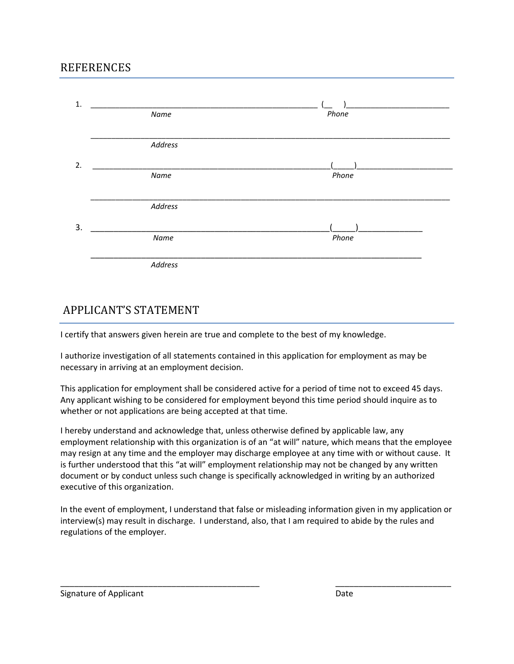#### **REFERENCES**

| 1. | Name    | Phone |  |
|----|---------|-------|--|
|    | Address |       |  |
| 2. |         |       |  |
|    | Name    | Phone |  |
|    |         |       |  |
|    | Address |       |  |
|    |         |       |  |
| 3. | Name    | Phone |  |
|    | Address |       |  |

#### APPLICANT'S STATEMENT

I certify that answers given herein are true and complete to the best of my knowledge.

I authorize investigation of all statements contained in this application for employment as may be necessary in arriving at an employment decision.

This application for employment shall be considered active for a period of time not to exceed 45 days. Any applicant wishing to be considered for employment beyond this time period should inquire as to whether or not applications are being accepted at that time.

I hereby understand and acknowledge that, unless otherwise defined by applicable law, any employment relationship with this organization is of an "at will" nature, which means that the employee may resign at any time and the employer may discharge employee at any time with or without cause. It is further understood that this "at will" employment relationship may not be changed by any written document or by conduct unless such change is specifically acknowledged in writing by an authorized executive of this organization.

In the event of employment, I understand that false or misleading information given in my application or interview(s) may result in discharge. I understand, also, that I am required to abide by the rules and regulations of the employer.

Signature of Applicant

\_\_\_\_\_\_\_\_\_\_\_\_\_\_\_\_\_\_\_\_\_\_\_\_\_\_\_\_\_\_\_\_\_\_\_\_\_\_\_\_\_\_\_

\_\_\_\_\_\_\_\_\_\_\_\_\_\_\_\_\_\_\_\_\_\_\_\_\_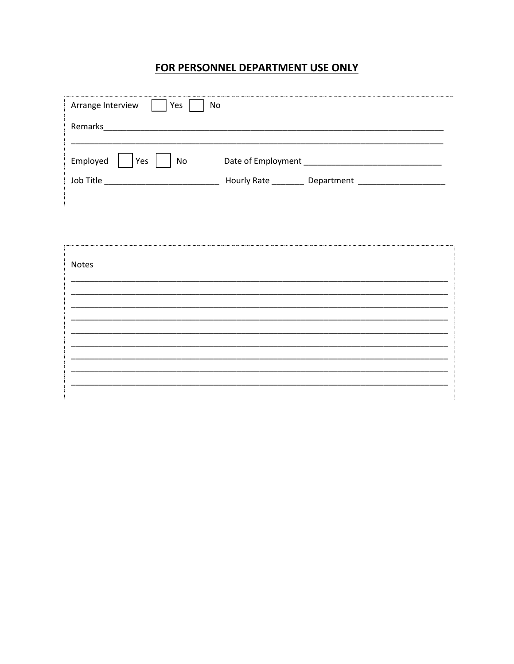#### FOR PERSONNEL DEPARTMENT USE ONLY

| Arrange Interview<br>Yes<br>No         |                                              |
|----------------------------------------|----------------------------------------------|
| Remarks                                |                                              |
| Employed<br>Yes<br>No<br>Job Title<br> | Date of Employment<br>Hourly Rate Department |